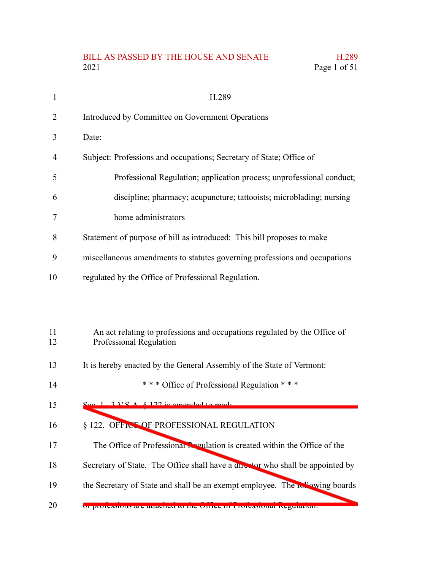#### BILL AS PASSED BY THE HOUSE AND SENATE H.289 2021 Page 1 of 51

|    | H.289                                                                      |
|----|----------------------------------------------------------------------------|
| 2  | Introduced by Committee on Government Operations                           |
| 3  | Date:                                                                      |
| 4  | Subject: Professions and occupations; Secretary of State; Office of        |
| 5  | Professional Regulation; application process; unprofessional conduct;      |
| 6  | discipline; pharmacy; acupuncture; tattooists; microblading; nursing       |
|    | home administrators                                                        |
| 8  | Statement of purpose of bill as introduced: This bill proposes to make     |
| 9  | miscellaneous amendments to statutes governing professions and occupations |
| 10 | regulated by the Office of Professional Regulation.                        |

#### An act relating to professions and occupations regulated by the Office of Professional Regulation 11 12

- It is hereby enacted by the General Assembly of the State of Vermont: 13
- \* \* \* Office of Professional Regulation \* \* \* 14
- Sec.  $1.3$  V.S.A.  $§$  122 is amended to read: 15

#### § 122. OFFICE OF PROFESSIONAL REGULATION 16

- The Office of Professional Regulation is created within the Office of the 17
- Secretary of State. The Office shall have a director who shall be appointed by 18
- the Secretary of State and shall be an exempt employee. The **following** boards 19
- or professions are attached to the Office of Professional Regulation: 20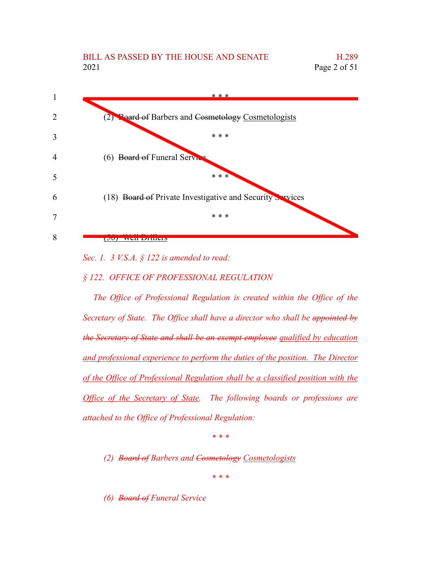

*Sec. 1. 3 V.S.A. § 122 is amended to read:*

*§ 122. OFFICE OF PROFESSIONAL REGULATION*

*The Office of Professional Regulation is created within the Office of the Secretary of State. The Office shall have a director who shall be appointed by the Secretary of State and shall be an exempt employee qualified by education and professional experience to perform the duties of the position. The Director of the Office of Professional Regulation shall be a classified position with the Office of the Secretary of State. The following boards or professions are attached to the Office of Professional Regulation:*

*\* \* \**

*(2) Board of Barbers and Cosmetology Cosmetologists*

*\* \* \**

*(6) Board of Funeral Service*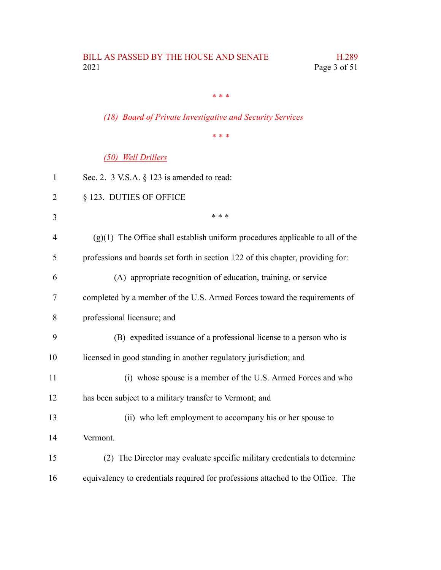*\* \* \**

*(18) Board of Private Investigative and Security Services*

*\* \* \**

#### *(50) Well Drillers*

| $\mathbf{1}$ | Sec. 2. $3$ V.S.A. $\S$ 123 is amended to read:                                 |
|--------------|---------------------------------------------------------------------------------|
| 2            | § 123. DUTIES OF OFFICE                                                         |
| 3            | * * *                                                                           |
| 4            | $(g)(1)$ The Office shall establish uniform procedures applicable to all of the |
| 5            | professions and boards set forth in section 122 of this chapter, providing for: |
| 6            | (A) appropriate recognition of education, training, or service                  |
| 7            | completed by a member of the U.S. Armed Forces toward the requirements of       |
| 8            | professional licensure; and                                                     |
| 9            | (B) expedited issuance of a professional license to a person who is             |
| 10           | licensed in good standing in another regulatory jurisdiction; and               |
| 11           | (i) whose spouse is a member of the U.S. Armed Forces and who                   |
| 12           | has been subject to a military transfer to Vermont; and                         |
| 13           | (ii) who left employment to accompany his or her spouse to                      |
| 14           | Vermont.                                                                        |
| 15           | (2) The Director may evaluate specific military credentials to determine        |
| 16           | equivalency to credentials required for professions attached to the Office. The |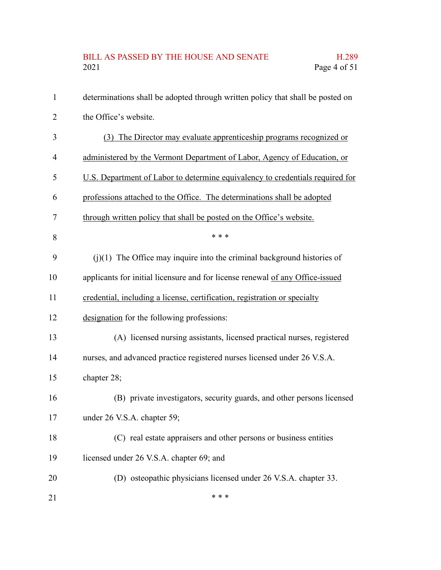## BILL AS PASSED BY THE HOUSE AND SENATE H.289<br>2021 Page 4 of 51 Page 4 of  $51$

| 1  | determinations shall be adopted through written policy that shall be posted on |
|----|--------------------------------------------------------------------------------|
| 2  | the Office's website.                                                          |
| 3  | (3) The Director may evaluate apprenticeship programs recognized or            |
| 4  | administered by the Vermont Department of Labor, Agency of Education, or       |
| 5  | U.S. Department of Labor to determine equivalency to credentials required for  |
| 6  | professions attached to the Office. The determinations shall be adopted        |
| 7  | through written policy that shall be posted on the Office's website.           |
| 8  | * * *                                                                          |
| 9  | $(i)(1)$ The Office may inquire into the criminal background histories of      |
| 10 | applicants for initial licensure and for license renewal of any Office-issued  |
| 11 | credential, including a license, certification, registration or specialty      |
| 12 | designation for the following professions:                                     |
| 13 | (A) licensed nursing assistants, licensed practical nurses, registered         |
| 14 | nurses, and advanced practice registered nurses licensed under 26 V.S.A.       |
| 15 | chapter 28;                                                                    |
| 16 | (B) private investigators, security guards, and other persons licensed         |
| 17 | under 26 V.S.A. chapter 59;                                                    |
| 18 | (C) real estate appraisers and other persons or business entities              |
| 19 | licensed under 26 V.S.A. chapter 69; and                                       |
| 20 | (D) osteopathic physicians licensed under 26 V.S.A. chapter 33.                |
| 21 | * * *                                                                          |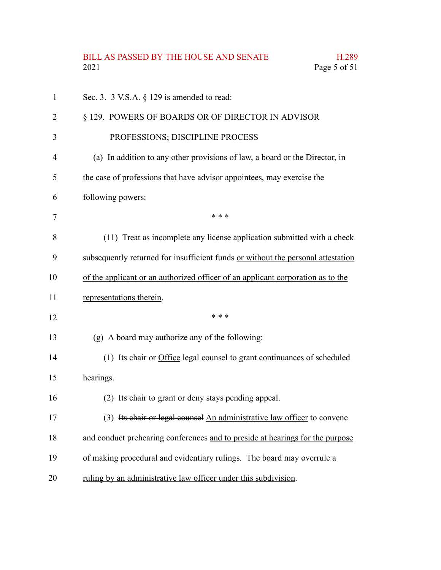## BILL AS PASSED BY THE HOUSE AND SENATE H.289<br>2021 Page 5 of 51 Page 5 of  $51$

| $\mathbf{1}$ | Sec. 3. 3 V.S.A. $\S$ 129 is amended to read:                                    |
|--------------|----------------------------------------------------------------------------------|
| 2            | § 129. POWERS OF BOARDS OR OF DIRECTOR IN ADVISOR                                |
| 3            | PROFESSIONS; DISCIPLINE PROCESS                                                  |
| 4            | (a) In addition to any other provisions of law, a board or the Director, in      |
| 5            | the case of professions that have advisor appointees, may exercise the           |
| 6            | following powers:                                                                |
| 7            | * * *                                                                            |
| 8            | (11) Treat as incomplete any license application submitted with a check          |
| 9            | subsequently returned for insufficient funds or without the personal attestation |
| 10           | of the applicant or an authorized officer of an applicant corporation as to the  |
| 11           | representations therein.                                                         |
| 12           | * * *                                                                            |
| 13           | (g) A board may authorize any of the following:                                  |
| 14           | (1) Its chair or Office legal counsel to grant continuances of scheduled         |
| 15           | hearings.                                                                        |
| 16           | (2) Its chair to grant or deny stays pending appeal.                             |
| 17           | (3) Its chair or legal counsel An administrative law officer to convene          |
| 18           | and conduct prehearing conferences and to preside at hearings for the purpose    |
| 19           | of making procedural and evidentiary rulings. The board may overrule a           |
| 20           | ruling by an administrative law officer under this subdivision.                  |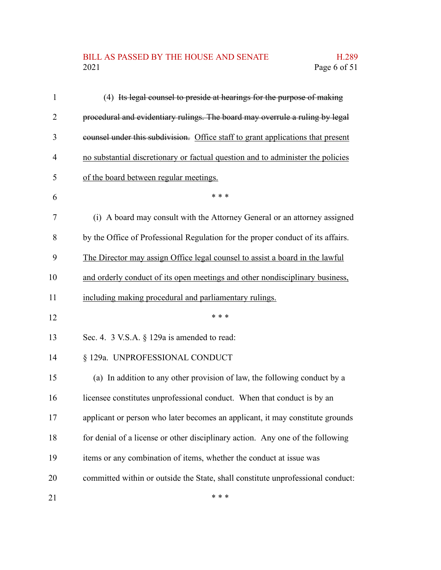#### BILL AS PASSED BY THE HOUSE AND SENATE H.289<br>2021 Page 6 of 51 Page 6 of 51

| $\mathbf{1}$   | (4) Its legal counsel to preside at hearings for the purpose of making          |
|----------------|---------------------------------------------------------------------------------|
| $\overline{2}$ | procedural and evidentiary rulings. The board may overrule a ruling by legal    |
| 3              | counsel under this subdivision. Office staff to grant applications that present |
| 4              | no substantial discretionary or factual question and to administer the policies |
| 5              | of the board between regular meetings.                                          |
| 6              | * * *                                                                           |
| 7              | (i) A board may consult with the Attorney General or an attorney assigned       |
| 8              | by the Office of Professional Regulation for the proper conduct of its affairs. |
| 9              | The Director may assign Office legal counsel to assist a board in the lawful    |
| 10             | and orderly conduct of its open meetings and other nondisciplinary business,    |
| 11             | including making procedural and parliamentary rulings.                          |
| 12             | * * *                                                                           |
| 13             | Sec. 4. 3 V.S.A. § 129a is amended to read:                                     |
| 14             | § 129a. UNPROFESSIONAL CONDUCT                                                  |
| 15             | (a) In addition to any other provision of law, the following conduct by a       |
| 16             | licensee constitutes unprofessional conduct. When that conduct is by an         |
| 17             | applicant or person who later becomes an applicant, it may constitute grounds   |
| 18             | for denial of a license or other disciplinary action. Any one of the following  |
| 19             | items or any combination of items, whether the conduct at issue was             |
| 20             | committed within or outside the State, shall constitute unprofessional conduct: |
| 21             | * * *                                                                           |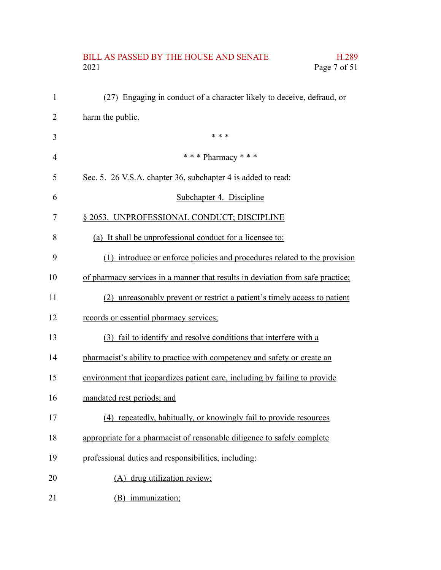# BILL AS PASSED BY THE HOUSE AND SENATE H.289<br>2021 Page 7 of 51 Page 7 of 51

| $\mathbf{1}$   | (27) Engaging in conduct of a character likely to deceive, defraud, or         |
|----------------|--------------------------------------------------------------------------------|
| 2              | harm the public.                                                               |
| 3              | * * *                                                                          |
| $\overline{4}$ | *** Pharmacy ***                                                               |
| 5              | Sec. 5. 26 V.S.A. chapter 36, subchapter 4 is added to read:                   |
| 6              | Subchapter 4. Discipline                                                       |
| 7              | § 2053. UNPROFESSIONAL CONDUCT; DISCIPLINE                                     |
| 8              | (a) It shall be unprofessional conduct for a licensee to:                      |
| 9              | (1) introduce or enforce policies and procedures related to the provision      |
| 10             | of pharmacy services in a manner that results in deviation from safe practice; |
| 11             | (2) unreasonably prevent or restrict a patient's timely access to patient      |
| 12             | records or essential pharmacy services;                                        |
| 13             | (3) fail to identify and resolve conditions that interfere with a              |
| 14             | pharmacist's ability to practice with competency and safety or create an       |
| 15             | environment that jeopardizes patient care, including by failing to provide     |
| 16             | mandated rest periods; and                                                     |
| 17             | (4) repeatedly, habitually, or knowingly fail to provide resources             |
| 18             | appropriate for a pharmacist of reasonable diligence to safely complete        |
| 19             | professional duties and responsibilities, including:                           |
| 20             | (A) drug utilization review;                                                   |
| 21             | (B) immunization;                                                              |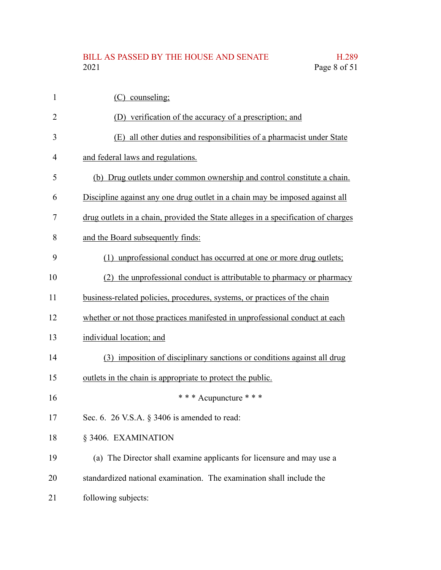#### BILL AS PASSED BY THE HOUSE AND SENATE H.289<br>2021 Page 8 of 51 Page 8 of 51

| $\mathbf{1}$   | (C) counseling;                                                                   |
|----------------|-----------------------------------------------------------------------------------|
| $\overline{2}$ | (D) verification of the accuracy of a prescription; and                           |
| 3              | (E) all other duties and responsibilities of a pharmacist under State             |
| 4              | and federal laws and regulations.                                                 |
| 5              | (b) Drug outlets under common ownership and control constitute a chain.           |
| 6              | Discipline against any one drug outlet in a chain may be imposed against all      |
| 7              | drug outlets in a chain, provided the State alleges in a specification of charges |
| 8              | and the Board subsequently finds:                                                 |
| 9              | unprofessional conduct has occurred at one or more drug outlets;<br>(1)           |
| 10             | (2) the unprofessional conduct is attributable to pharmacy or pharmacy            |
| 11             | business-related policies, procedures, systems, or practices of the chain         |
| 12             | whether or not those practices manifested in unprofessional conduct at each       |
| 13             | individual location; and                                                          |
| 14             | (3) imposition of disciplinary sanctions or conditions against all drug           |
| 15             | outlets in the chain is appropriate to protect the public.                        |
| 16             | * * * Acupuncture * * *                                                           |
| 17             | Sec. 6. 26 V.S.A. $\S$ 3406 is amended to read:                                   |
| 18             | § 3406. EXAMINATION                                                               |
| 19             | (a) The Director shall examine applicants for licensure and may use a             |
| 20             | standardized national examination. The examination shall include the              |
| 21             | following subjects:                                                               |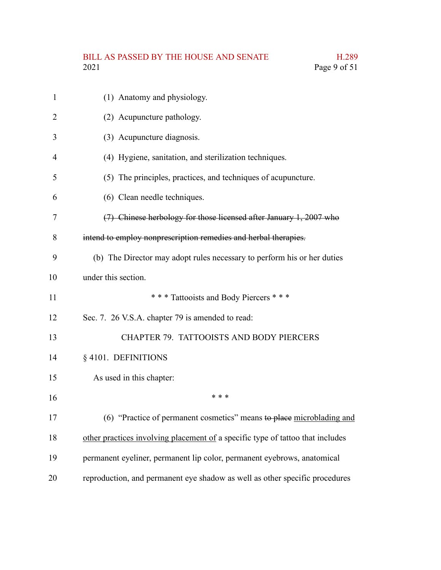# BILL AS PASSED BY THE HOUSE AND SENATE H.289<br>2021 Page 9 of 51

| 1              | (1) Anatomy and physiology.                                                    |
|----------------|--------------------------------------------------------------------------------|
| $\overline{2}$ | (2) Acupuncture pathology.                                                     |
| 3              | (3) Acupuncture diagnosis.                                                     |
| 4              | (4) Hygiene, sanitation, and sterilization techniques.                         |
| 5              | (5) The principles, practices, and techniques of acupuncture.                  |
| 6              | (6) Clean needle techniques.                                                   |
| 7              | (7) Chinese herbology for those licensed after January 1, 2007 who             |
| 8              | intend to employ nonprescription remedies and herbal therapies.                |
| 9              | (b) The Director may adopt rules necessary to perform his or her duties        |
| 10             | under this section.                                                            |
| 11             | *** Tattooists and Body Piercers ***                                           |
| 12             | Sec. 7. 26 V.S.A. chapter 79 is amended to read:                               |
| 13             | CHAPTER 79. TATTOOISTS AND BODY PIERCERS                                       |
| 14             | § 4101. DEFINITIONS                                                            |
| 15             | As used in this chapter:                                                       |
| 16             | * * *                                                                          |
| 17             | (6) "Practice of permanent cosmetics" means to place microblading and          |
| 18             | other practices involving placement of a specific type of tattoo that includes |
| 19             | permanent eyeliner, permanent lip color, permanent eyebrows, anatomical        |
| 20             | reproduction, and permanent eye shadow as well as other specific procedures    |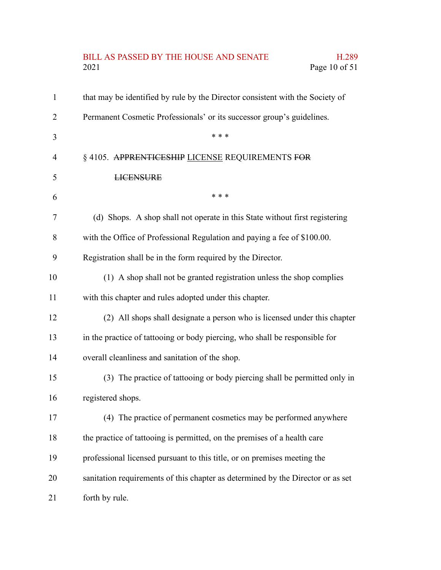# BILL AS PASSED BY THE HOUSE AND SENATE H.289<br>2021 Page 10 of 51 Page 10 of 51

| 1              | that may be identified by rule by the Director consistent with the Society of   |
|----------------|---------------------------------------------------------------------------------|
| $\overline{2}$ | Permanent Cosmetic Professionals' or its successor group's guidelines.          |
| 3              | * * *                                                                           |
| 4              | § 4105. APPRENTICESHIP LICENSE REQUIREMENTS FOR                                 |
| 5              | <b>LICENSURE</b>                                                                |
| 6              | * * *                                                                           |
| 7              | (d) Shops. A shop shall not operate in this State without first registering     |
| 8              | with the Office of Professional Regulation and paying a fee of \$100.00.        |
| 9              | Registration shall be in the form required by the Director.                     |
| 10             | (1) A shop shall not be granted registration unless the shop complies           |
| 11             | with this chapter and rules adopted under this chapter.                         |
| 12             | (2) All shops shall designate a person who is licensed under this chapter       |
| 13             | in the practice of tattooing or body piercing, who shall be responsible for     |
| 14             | overall cleanliness and sanitation of the shop.                                 |
| 15             | (3) The practice of tattooing or body piercing shall be permitted only in       |
| 16             | registered shops.                                                               |
| 17             | (4) The practice of permanent cosmetics may be performed anywhere               |
| 18             | the practice of tattooing is permitted, on the premises of a health care        |
| 19             | professional licensed pursuant to this title, or on premises meeting the        |
| 20             | sanitation requirements of this chapter as determined by the Director or as set |
| 21             | forth by rule.                                                                  |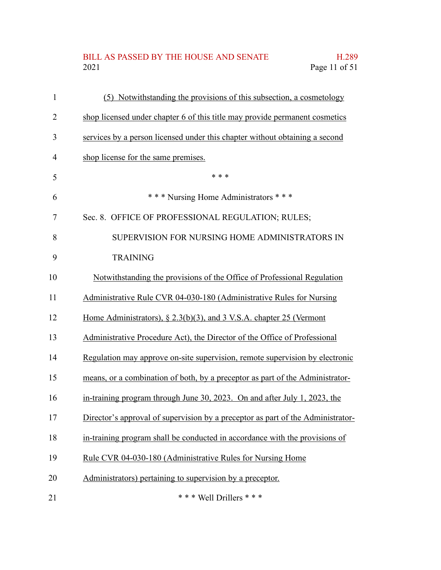## BILL AS PASSED BY THE HOUSE AND SENATE H.289<br>2021 Page 11 of 51 Page 11 of 51

| $\mathbf{1}$ | (5) Notwithstanding the provisions of this subsection, a cosmetology            |
|--------------|---------------------------------------------------------------------------------|
| 2            | shop licensed under chapter 6 of this title may provide permanent cosmetics     |
| 3            | services by a person licensed under this chapter without obtaining a second     |
| 4            | shop license for the same premises.                                             |
| 5            | * * *                                                                           |
| 6            | *** Nursing Home Administrators ***                                             |
| 7            | Sec. 8. OFFICE OF PROFESSIONAL REGULATION; RULES;                               |
| 8            | SUPERVISION FOR NURSING HOME ADMINISTRATORS IN                                  |
| 9            | <b>TRAINING</b>                                                                 |
| 10           | Notwithstanding the provisions of the Office of Professional Regulation         |
| 11           | Administrative Rule CVR 04-030-180 (Administrative Rules for Nursing            |
| 12           | Home Administrators), § 2.3(b)(3), and 3 V.S.A. chapter 25 (Vermont             |
| 13           | Administrative Procedure Act), the Director of the Office of Professional       |
| 14           | Regulation may approve on-site supervision, remote supervision by electronic    |
| 15           | means, or a combination of both, by a preceptor as part of the Administrator-   |
| 16           | in-training program through June 30, 2023. On and after July 1, 2023, the       |
| 17           | Director's approval of supervision by a preceptor as part of the Administrator- |
| 18           | in-training program shall be conducted in accordance with the provisions of     |
| 19           | Rule CVR 04-030-180 (Administrative Rules for Nursing Home                      |
| 20           | Administrators) pertaining to supervision by a preceptor.                       |
| 21           | *** Well Drillers ***                                                           |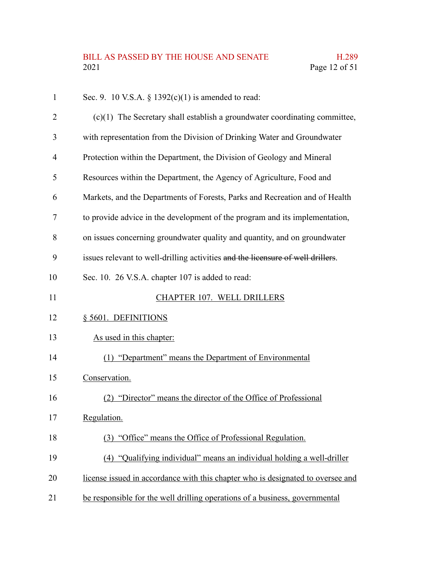| $\mathbf{1}$   | Sec. 9. 10 V.S.A. § $1392(c)(1)$ is amended to read:                            |
|----------------|---------------------------------------------------------------------------------|
| $\overline{2}$ | $(c)(1)$ The Secretary shall establish a groundwater coordinating committee,    |
| 3              | with representation from the Division of Drinking Water and Groundwater         |
| $\overline{4}$ | Protection within the Department, the Division of Geology and Mineral           |
| 5              | Resources within the Department, the Agency of Agriculture, Food and            |
| 6              | Markets, and the Departments of Forests, Parks and Recreation and of Health     |
| 7              | to provide advice in the development of the program and its implementation,     |
| 8              | on issues concerning groundwater quality and quantity, and on groundwater       |
| 9              | issues relevant to well-drilling activities and the licensure of well drillers. |
| 10             | Sec. 10. 26 V.S.A. chapter 107 is added to read:                                |
| 11             | CHAPTER 107. WELL DRILLERS                                                      |
| 12             | § 5601. DEFINITIONS                                                             |
| 13             | As used in this chapter:                                                        |
| 14             | (1) "Department" means the Department of Environmental                          |
| 15             | Conservation.                                                                   |
| 16             | (2) "Director" means the director of the Office of Professional                 |
| 17             | Regulation.                                                                     |
| 18             | (3) "Office" means the Office of Professional Regulation.                       |
| 19             | (4) "Qualifying individual" means an individual holding a well-driller          |
| 20             | license issued in accordance with this chapter who is designated to oversee and |
| 21             | be responsible for the well drilling operations of a business, governmental     |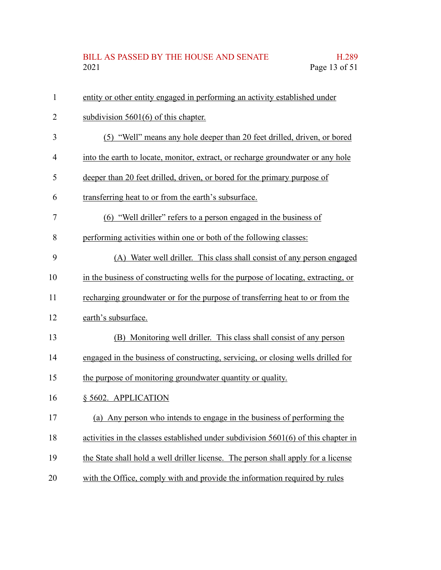# BILL AS PASSED BY THE HOUSE AND SENATE H.289<br>2021 Page 13 of 51 Page 13 of 51

| $\mathbf{1}$   | entity or other entity engaged in performing an activity established under           |
|----------------|--------------------------------------------------------------------------------------|
| $\overline{2}$ | subdivision $5601(6)$ of this chapter.                                               |
| 3              | (5) "Well" means any hole deeper than 20 feet drilled, driven, or bored              |
| $\overline{4}$ | into the earth to locate, monitor, extract, or recharge groundwater or any hole      |
| 5              | deeper than 20 feet drilled, driven, or bored for the primary purpose of             |
| 6              | transferring heat to or from the earth's subsurface.                                 |
| 7              | (6) "Well driller" refers to a person engaged in the business of                     |
| 8              | performing activities within one or both of the following classes:                   |
| 9              | (A) Water well driller. This class shall consist of any person engaged               |
| 10             | in the business of constructing wells for the purpose of locating, extracting, or    |
| 11             | recharging groundwater or for the purpose of transferring heat to or from the        |
| 12             | earth's subsurface.                                                                  |
| 13             | (B) Monitoring well driller. This class shall consist of any person                  |
| 14             | engaged in the business of constructing, servicing, or closing wells drilled for     |
| 15             | the purpose of monitoring groundwater quantity or quality.                           |
| 16             | § 5602. APPLICATION                                                                  |
| 17             | (a) Any person who intends to engage in the business of performing the               |
| 18             | activities in the classes established under subdivision $5601(6)$ of this chapter in |
| 19             | the State shall hold a well driller license. The person shall apply for a license    |
| 20             | with the Office, comply with and provide the information required by rules           |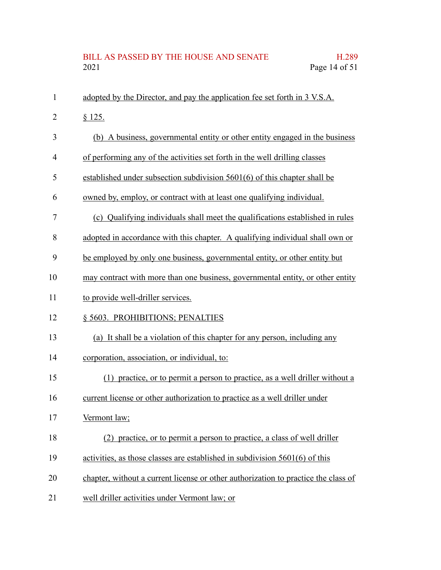# BILL AS PASSED BY THE HOUSE AND SENATE H.289<br>2021 Page 14 of 51 Page 14 of 51

| $\mathbf{1}$ | adopted by the Director, and pay the application fee set forth in 3 V.S.A.         |
|--------------|------------------------------------------------------------------------------------|
| 2            | \$125.                                                                             |
| 3            | (b) A business, governmental entity or other entity engaged in the business        |
| 4            | of performing any of the activities set forth in the well drilling classes         |
| 5            | established under subsection subdivision 5601(6) of this chapter shall be          |
| 6            | owned by, employ, or contract with at least one qualifying individual.             |
| 7            | (c) Qualifying individuals shall meet the qualifications established in rules      |
| 8            | adopted in accordance with this chapter. A qualifying individual shall own or      |
| 9            | be employed by only one business, governmental entity, or other entity but         |
| 10           | may contract with more than one business, governmental entity, or other entity     |
| 11           | to provide well-driller services.                                                  |
| 12           | § 5603. PROHIBITIONS; PENALTIES                                                    |
| 13           | (a) It shall be a violation of this chapter for any person, including any          |
| 14           | corporation, association, or individual, to:                                       |
| 15           | (1) practice, or to permit a person to practice, as a well driller without a       |
| 16           | current license or other authorization to practice as a well driller under         |
| 17           | Vermont law;                                                                       |
| 18           | (2) practice, or to permit a person to practice, a class of well driller           |
| 19           | activities, as those classes are established in subdivision 5601(6) of this        |
| 20           | chapter, without a current license or other authorization to practice the class of |
| 21           | well driller activities under Vermont law; or                                      |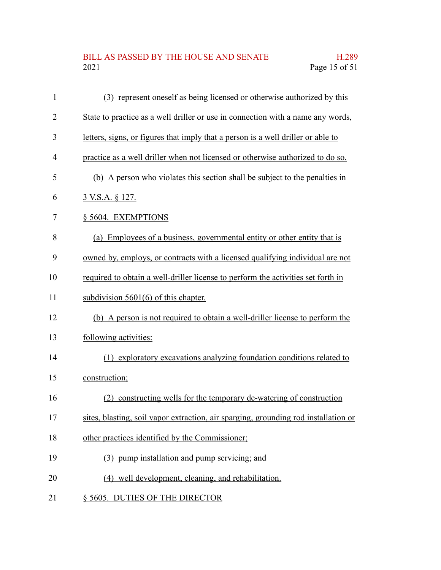#### BILL AS PASSED BY THE HOUSE AND SENATE H.289<br>2021 Page 15 of 51 Page 15 of 51

| $\mathbf{1}$ | (3) represent oneself as being licensed or otherwise authorized by this             |
|--------------|-------------------------------------------------------------------------------------|
| 2            | State to practice as a well driller or use in connection with a name any words,     |
| 3            | letters, signs, or figures that imply that a person is a well driller or able to    |
| 4            | practice as a well driller when not licensed or otherwise authorized to do so.      |
| 5            | (b) A person who violates this section shall be subject to the penalties in         |
| 6            | <u>3 V.S.A. § 127.</u>                                                              |
| 7            | § 5604. EXEMPTIONS                                                                  |
| 8            | (a) Employees of a business, governmental entity or other entity that is            |
| 9            | owned by, employs, or contracts with a licensed qualifying individual are not       |
| 10           | required to obtain a well-driller license to perform the activities set forth in    |
| 11           | subdivision $5601(6)$ of this chapter.                                              |
| 12           | (b) A person is not required to obtain a well-driller license to perform the        |
| 13           | following activities:                                                               |
| 14           | (1) exploratory excavations analyzing foundation conditions related to              |
| 15           | construction;                                                                       |
| 16           | constructing wells for the temporary de-watering of construction<br>(2)             |
| 17           | sites, blasting, soil vapor extraction, air sparging, grounding rod installation or |
| 18           | other practices identified by the Commissioner;                                     |
| 19           | (3) pump installation and pump servicing; and                                       |
| 20           | (4) well development, cleaning, and rehabilitation.                                 |
| 21           | § 5605. DUTIES OF THE DIRECTOR                                                      |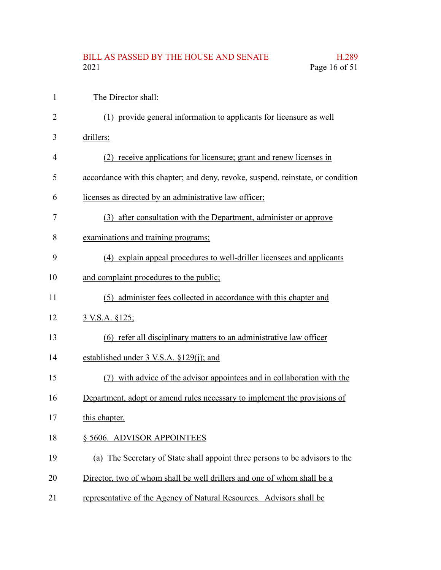## BILL AS PASSED BY THE HOUSE AND SENATE H.289<br>2021 Page 16 of 51 Page 16 of 51

| $\mathbf{1}$ | The Director shall:                                                              |
|--------------|----------------------------------------------------------------------------------|
| 2            | (1) provide general information to applicants for licensure as well              |
| 3            | drillers;                                                                        |
| 4            | (2) receive applications for licensure; grant and renew licenses in              |
| 5            | accordance with this chapter; and deny, revoke, suspend, reinstate, or condition |
| 6            | licenses as directed by an administrative law officer;                           |
| 7            | (3) after consultation with the Department, administer or approve                |
| 8            | examinations and training programs;                                              |
| 9            | (4) explain appeal procedures to well-driller licensees and applicants           |
| 10           | and complaint procedures to the public;                                          |
| 11           | (5) administer fees collected in accordance with this chapter and                |
| 12           | <u>3 V.S.A. §125;</u>                                                            |
| 13           | (6) refer all disciplinary matters to an administrative law officer              |
| 14           | established under 3 V.S.A. §129(j); and                                          |
| 15           | (7) with advice of the advisor appointees and in collaboration with the          |
| 16           | Department, adopt or amend rules necessary to implement the provisions of        |
| 17           | this chapter.                                                                    |
| 18           | § 5606. ADVISOR APPOINTEES                                                       |
| 19           | (a) The Secretary of State shall appoint three persons to be advisors to the     |
| 20           | Director, two of whom shall be well drillers and one of whom shall be a          |
| 21           | representative of the Agency of Natural Resources. Advisors shall be             |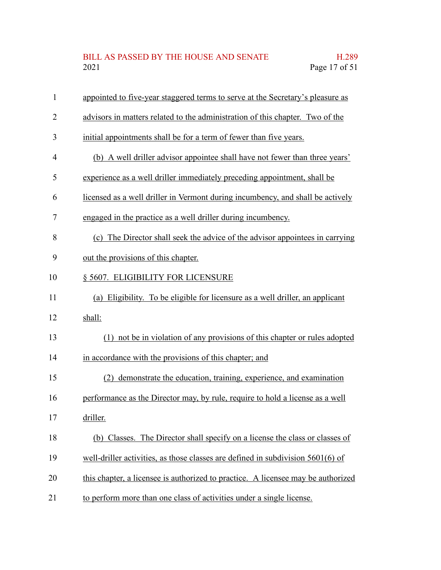| 1              | appointed to five-year staggered terms to serve at the Secretary's pleasure as    |
|----------------|-----------------------------------------------------------------------------------|
| $\overline{2}$ | advisors in matters related to the administration of this chapter. Two of the     |
| 3              | initial appointments shall be for a term of fewer than five years.                |
| 4              | (b) A well driller advisor appointee shall have not fewer than three years'       |
| 5              | experience as a well driller immediately preceding appointment, shall be          |
| 6              | licensed as a well driller in Vermont during incumbency, and shall be actively    |
| 7              | engaged in the practice as a well driller during incumbency.                      |
| 8              | (c) The Director shall seek the advice of the advisor appointees in carrying      |
| 9              | out the provisions of this chapter.                                               |
| 10             | § 5607. ELIGIBILITY FOR LICENSURE                                                 |
| 11             | (a) Eligibility. To be eligible for licensure as a well driller, an applicant     |
| 12             | shall:                                                                            |
| 13             | (1) not be in violation of any provisions of this chapter or rules adopted        |
| 14             | in accordance with the provisions of this chapter; and                            |
| 15             | (2) demonstrate the education, training, experience, and examination              |
| 16             | performance as the Director may, by rule, require to hold a license as a well     |
| 17             | driller.                                                                          |
| 18             | (b) Classes. The Director shall specify on a license the class or classes of      |
| 19             | well-driller activities, as those classes are defined in subdivision $5601(6)$ of |
| 20             | this chapter, a licensee is authorized to practice. A licensee may be authorized  |
| 21             | to perform more than one class of activities under a single license.              |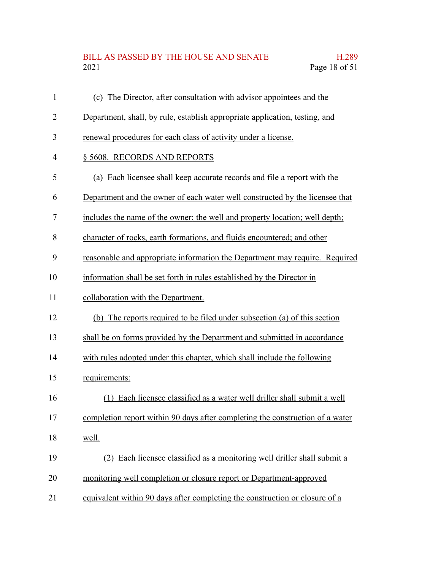## BILL AS PASSED BY THE HOUSE AND SENATE H.289<br>2021 Page 18 of 51 Page 18 of 51

| $\mathbf{1}$   | (c) The Director, after consultation with advisor appointees and the          |
|----------------|-------------------------------------------------------------------------------|
| $\overline{2}$ | Department, shall, by rule, establish appropriate application, testing, and   |
| 3              | renewal procedures for each class of activity under a license.                |
| $\overline{4}$ | § 5608. RECORDS AND REPORTS                                                   |
| 5              | (a) Each licensee shall keep accurate records and file a report with the      |
| 6              | Department and the owner of each water well constructed by the licensee that  |
| 7              | includes the name of the owner; the well and property location; well depth;   |
| 8              | character of rocks, earth formations, and fluids encountered; and other       |
| 9              | reasonable and appropriate information the Department may require. Required   |
| 10             | information shall be set forth in rules established by the Director in        |
| 11             | collaboration with the Department.                                            |
| 12             | (b) The reports required to be filed under subsection (a) of this section     |
| 13             | shall be on forms provided by the Department and submitted in accordance      |
| 14             | with rules adopted under this chapter, which shall include the following      |
| 15             | requirements:                                                                 |
| 16             | (1) Each licensee classified as a water well driller shall submit a well      |
| 17             | completion report within 90 days after completing the construction of a water |
| 18             | well.                                                                         |
| 19             | (2) Each licensee classified as a monitoring well driller shall submit a      |
| 20             | monitoring well completion or closure report or Department-approved           |
| 21             | equivalent within 90 days after completing the construction or closure of a   |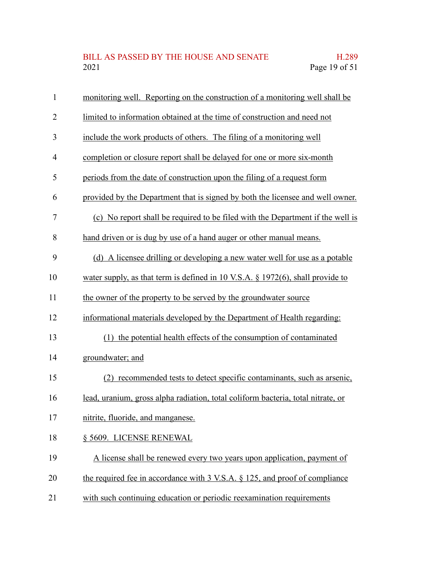| $\mathbf{1}$   | monitoring well. Reporting on the construction of a monitoring well shall be      |
|----------------|-----------------------------------------------------------------------------------|
| $\overline{2}$ | limited to information obtained at the time of construction and need not          |
| 3              | include the work products of others. The filing of a monitoring well              |
| $\overline{4}$ | completion or closure report shall be delayed for one or more six-month           |
| 5              | periods from the date of construction upon the filing of a request form           |
| 6              | provided by the Department that is signed by both the licensee and well owner.    |
| 7              | (c) No report shall be required to be filed with the Department if the well is    |
| 8              | hand driven or is dug by use of a hand auger or other manual means.               |
| 9              | (d) A licensee drilling or developing a new water well for use as a potable       |
| 10             | water supply, as that term is defined in 10 V.S.A. $\S$ 1972(6), shall provide to |
| 11             | the owner of the property to be served by the groundwater source                  |
| 12             | informational materials developed by the Department of Health regarding:          |
| 13             | (1) the potential health effects of the consumption of contaminated               |
| 14             | groundwater; and                                                                  |
| 15             | (2) recommended tests to detect specific contaminants, such as arsenic,           |
| 16             | lead, uranium, gross alpha radiation, total coliform bacteria, total nitrate, or  |
| 17             | nitrite, fluoride, and manganese.                                                 |
| 18             | § 5609. LICENSE RENEWAL                                                           |
| 19             | A license shall be renewed every two years upon application, payment of           |
| 20             | the required fee in accordance with 3 V.S.A. § 125, and proof of compliance       |
| 21             | with such continuing education or periodic reexamination requirements             |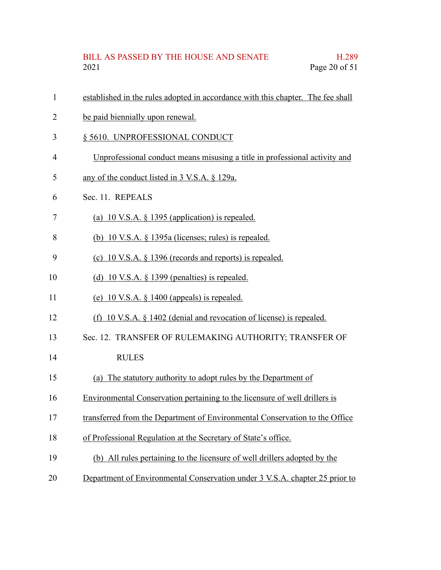- established in the rules adopted in accordance with this chapter. The fee shall 1
- be paid biennially upon renewal. 2
- § 5610. UNPROFESSIONAL CONDUCT 3
- Unprofessional conduct means misusing a title in professional activity and 4
- any of the conduct listed in 3 V.S.A. § 129a. 5
- Sec. 11. REPEALS 6
- (a) 10 V.S.A. § 1395 (application) is repealed. 7
- (b) 10 V.S.A. § 1395a (licenses; rules) is repealed. 8
- (c) 10 V.S.A. § 1396 (records and reports) is repealed. 9
- (d) 10 V.S.A.  $\S$  1399 (penalties) is repealed. 10
- (e) 10 V.S.A. § 1400 (appeals) is repealed. 11
- (f) 10 V.S.A. § 1402 (denial and revocation of license) is repealed. 12
- Sec. 12. TRANSFER OF RULEMAKING AUTHORITY; TRANSFER OF 13
- **RULES** 14
- (a) The statutory authority to adopt rules by the Department of 15
- Environmental Conservation pertaining to the licensure of well drillers is 16
- transferred from the Department of Environmental Conservation to the Office 17
- of Professional Regulation at the Secretary of State's office. 18
- (b) All rules pertaining to the licensure of well drillers adopted by the 19
- Department of Environmental Conservation under 3 V.S.A. chapter 25 prior to 20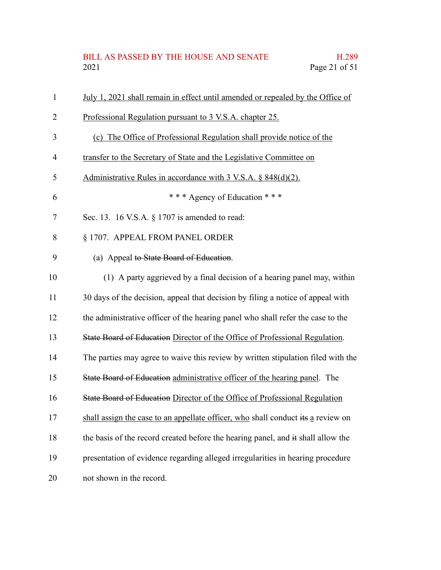| BILL AS PASSED BY THE HOUSE AND SENATE | H.289         |
|----------------------------------------|---------------|
| 2021                                   | Page 21 of 51 |

| $\mathbf{1}$ | July 1, 2021 shall remain in effect until amended or repealed by the Office of   |
|--------------|----------------------------------------------------------------------------------|
| 2            | Professional Regulation pursuant to 3 V.S.A. chapter 25.                         |
| 3            | (c) The Office of Professional Regulation shall provide notice of the            |
| 4            | transfer to the Secretary of State and the Legislative Committee on              |
| 5            | Administrative Rules in accordance with 3 V.S.A. § 848(d)(2).                    |
| 6            | *** Agency of Education ***                                                      |
| 7            | Sec. 13. 16 V.S.A. § 1707 is amended to read:                                    |
| 8            | § 1707. APPEAL FROM PANEL ORDER                                                  |
| 9            | (a) Appeal to State Board of Education.                                          |
| 10           | (1) A party aggrieved by a final decision of a hearing panel may, within         |
| 11           | 30 days of the decision, appeal that decision by filing a notice of appeal with  |
| 12           | the administrative officer of the hearing panel who shall refer the case to the  |
| 13           | State Board of Education Director of the Office of Professional Regulation.      |
| 14           | The parties may agree to waive this review by written stipulation filed with the |
| 15           | State Board of Education administrative officer of the hearing panel. The        |
| 16           | State Board of Education Director of the Office of Professional Regulation       |
| 17           | shall assign the case to an appellate officer, who shall conduct its a review on |
| 18           | the basis of the record created before the hearing panel, and it shall allow the |
| 19           | presentation of evidence regarding alleged irregularities in hearing procedure   |
| 20           | not shown in the record.                                                         |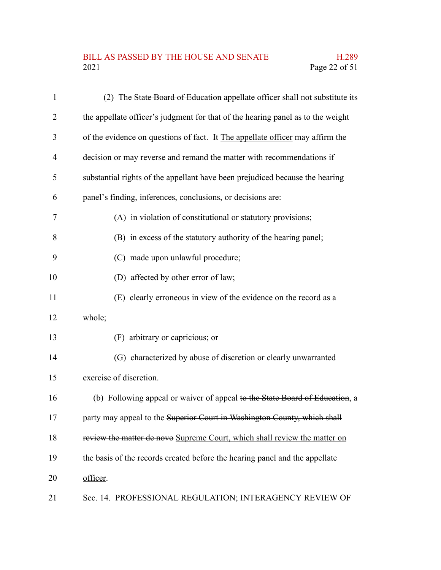#### BILL AS PASSED BY THE HOUSE AND SENATE H.289<br>2021 Page 22 of 51 Page 22 of 51

| $\mathbf{1}$   | (2) The State Board of Education appellate officer shall not substitute its     |
|----------------|---------------------------------------------------------------------------------|
| $\overline{2}$ | the appellate officer's judgment for that of the hearing panel as to the weight |
| 3              | of the evidence on questions of fact. It The appellate officer may affirm the   |
| $\overline{4}$ | decision or may reverse and remand the matter with recommendations if           |
| 5              | substantial rights of the appellant have been prejudiced because the hearing    |
| 6              | panel's finding, inferences, conclusions, or decisions are:                     |
| 7              | (A) in violation of constitutional or statutory provisions;                     |
| 8              | (B) in excess of the statutory authority of the hearing panel;                  |
| 9              | (C) made upon unlawful procedure;                                               |
| 10             | (D) affected by other error of law;                                             |
| 11             | (E) clearly erroneous in view of the evidence on the record as a                |
| 12             | whole;                                                                          |
| 13             | (F) arbitrary or capricious; or                                                 |
| 14             | (G) characterized by abuse of discretion or clearly unwarranted                 |
| 15             | exercise of discretion.                                                         |
| 16             | (b) Following appeal or waiver of appeal to the State Board of Education, a     |
| 17             | party may appeal to the Superior Court in Washington County, which shall        |
| 18             | review the matter de novo Supreme Court, which shall review the matter on       |
| 19             | the basis of the records created before the hearing panel and the appellate     |
| 20             | officer.                                                                        |
| 21             | Sec. 14. PROFESSIONAL REGULATION; INTERAGENCY REVIEW OF                         |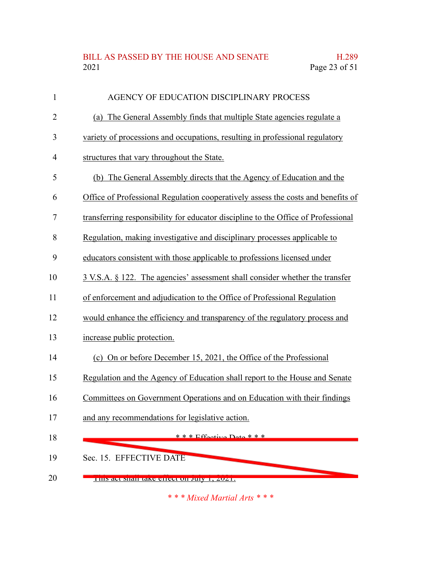### BILL AS PASSED BY THE HOUSE AND SENATE H.289<br>2021 Page 23 of 51 Page 23 of 51

| $\mathbf{1}$ | AGENCY OF EDUCATION DISCIPLINARY PROCESS                                          |
|--------------|-----------------------------------------------------------------------------------|
| 2            | (a) The General Assembly finds that multiple State agencies regulate a            |
| 3            | variety of processions and occupations, resulting in professional regulatory      |
| 4            | structures that vary throughout the State.                                        |
| 5            | (b) The General Assembly directs that the Agency of Education and the             |
| 6            | Office of Professional Regulation cooperatively assess the costs and benefits of  |
| 7            | transferring responsibility for educator discipline to the Office of Professional |
| 8            | Regulation, making investigative and disciplinary processes applicable to         |
| 9            | educators consistent with those applicable to professions licensed under          |
| 10           | 3 V.S.A. § 122. The agencies' assessment shall consider whether the transfer      |
| 11           | of enforcement and adjudication to the Office of Professional Regulation          |
| 12           | would enhance the efficiency and transparency of the regulatory process and       |
| 13           | increase public protection.                                                       |
| 14           | (c) On or before December 15, 2021, the Office of the Professional                |
| 15           | Regulation and the Agency of Education shall report to the House and Senate       |
| 16           | Committees on Government Operations and on Education with their findings          |
| 17           | and any recommendations for legislative action.                                   |
| 18           | $* * * Fffactive$ Dota $* * *$                                                    |
| 19           | Sec. 15. EFFECTIVE DATE                                                           |
| 20           | THIS act shall take effect on July 1, 2021.                                       |

*\* \* \* Mixed Martial Arts \* \* \**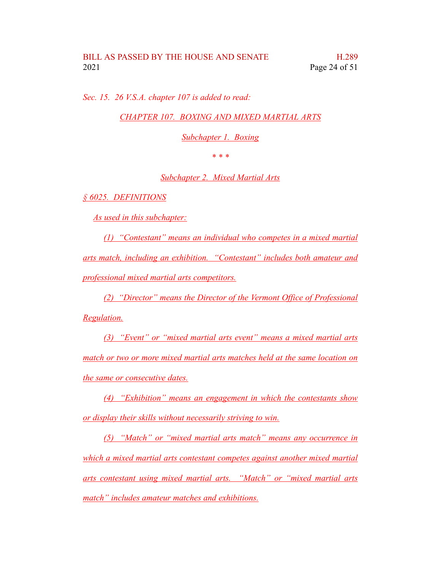*Sec. 15. 26 V.S.A. chapter 107 is added to read:*

*CHAPTER 107. BOXING AND MIXED MARTIAL ARTS*

*Subchapter 1. Boxing*

*\* \* \**

*Subchapter 2. Mixed Martial Arts*

*§ 6025. DEFINITIONS*

*As used in this subchapter:*

*(1) "Contestant" means an individual who competes in a mixed martial arts match, including an exhibition. "Contestant" includes both amateur and professional mixed martial arts competitors.*

*(2) "Director" means the Director of the Vermont Office of Professional Regulation.*

*(3) "Event" or "mixed martial arts event" means a mixed martial arts match or two or more mixed martial arts matches held at the same location on the same or consecutive dates.*

*(4) "Exhibition" means an engagement in which the contestants show or display their skills without necessarily striving to win.*

*(5) "Match" or "mixed martial arts match" means any occurrence in which a mixed martial arts contestant competes against another mixed martial arts contestant using mixed martial arts. "Match" or "mixed martial arts match" includes amateur matches and exhibitions.*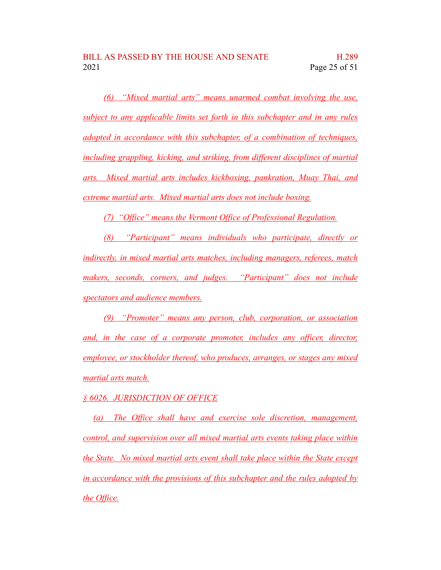*(6) "Mixed martial arts" means unarmed combat involving the use, subject to any applicable limits set forth in this subchapter and in any rules adopted in accordance with this subchapter, of a combination of techniques, including grappling, kicking, and striking, from different disciplines of martial arts. Mixed martial arts includes kickboxing, pankration, Muay Thai, and extreme martial arts. Mixed martial arts does not include boxing.*

*(7) "Office" means the Vermont Office of Professional Regulation.*

*(8) "Participant" means individuals who participate, directly or indirectly, in mixed martial arts matches, including managers, referees, match makers, seconds, corners, and judges. "Participant" does not include spectators and audience members.*

*(9) "Promoter" means any person, club, corporation, or association and, in the case of a corporate promoter, includes any officer, director, employee, or stockholder thereof, who produces, arranges, or stages any mixed martial arts match.*

*§ 6026. JURISDICTION OF OFFICE*

*(a) The Office shall have and exercise sole discretion, management, control, and supervision over all mixed martial arts events taking place within the State. No mixed martial arts event shall take place within the State except in accordance with the provisions of this subchapter and the rules adopted by the Office.*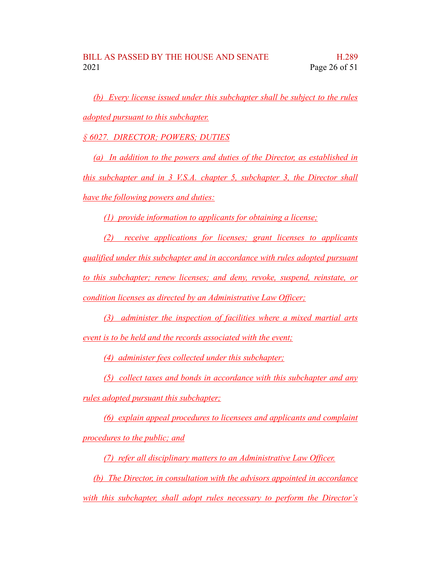*(b) Every license issued under this subchapter shall be subject to the rules adopted pursuant to this subchapter.*

*§ 6027. DIRECTOR; POWERS; DUTIES*

*(a) In addition to the powers and duties of the Director, as established in this subchapter and in 3 V.S.A. chapter 5, subchapter 3, the Director shall have the following powers and duties:*

*(1) provide information to applicants for obtaining a license;*

*(2) receive applications for licenses; grant licenses to applicants qualified under this subchapter and in accordance with rules adopted pursuant to this subchapter; renew licenses; and deny, revoke, suspend, reinstate, or condition licenses as directed by an Administrative Law Officer;*

*(3) administer the inspection of facilities where a mixed martial arts event is to be held and the records associated with the event;*

*(4) administer fees collected under this subchapter;*

*(5) collect taxes and bonds in accordance with this subchapter and any rules adopted pursuant this subchapter;*

*(6) explain appeal procedures to licensees and applicants and complaint procedures to the public; and*

*(7) refer all disciplinary matters to an Administrative Law Officer.*

*(b) The Director, in consultation with the advisors appointed in accordance with this subchapter, shall adopt rules necessary to perform the Director's*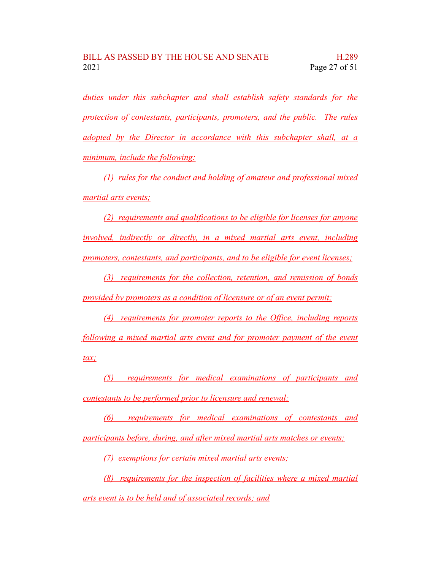*duties under this subchapter and shall establish safety standards for the protection of contestants, participants, promoters, and the public. The rules adopted by the Director in accordance with this subchapter shall, at a minimum, include the following:*

*(1) rules for the conduct and holding of amateur and professional mixed martial arts events;*

*(2) requirements and qualifications to be eligible for licenses for anyone involved, indirectly or directly, in a mixed martial arts event, including promoters, contestants, and participants, and to be eligible for event licenses;*

*(3) requirements for the collection, retention, and remission of bonds provided by promoters as a condition of licensure or of an event permit;*

*(4) requirements for promoter reports to the Office, including reports following a mixed martial arts event and for promoter payment of the event tax;*

*(5) requirements for medical examinations of participants and contestants to be performed prior to licensure and renewal;*

*(6) requirements for medical examinations of contestants and participants before, during, and after mixed martial arts matches or events;*

*(7) exemptions for certain mixed martial arts events;*

*(8) requirements for the inspection of facilities where a mixed martial arts event is to be held and of associated records; and*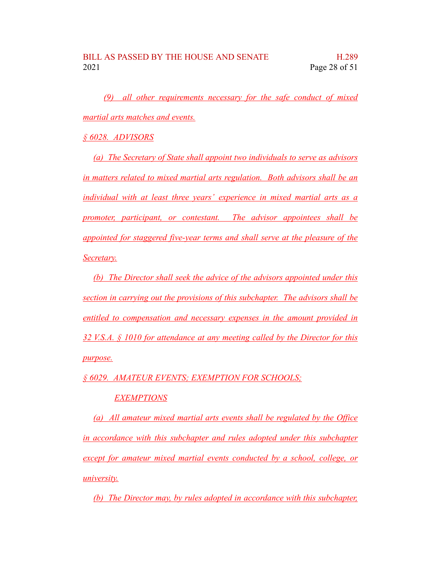*(9) all other requirements necessary for the safe conduct of mixed martial arts matches and events.*

*§ 6028. ADVISORS*

*(a) The Secretary of State shall appoint two individuals to serve as advisors in matters related to mixed martial arts regulation. Both advisors shall be an individual with at least three years' experience in mixed martial arts as a promoter, participant, or contestant. The advisor appointees shall be appointed for staggered five-year terms and shall serve at the pleasure of the Secretary.*

*(b) The Director shall seek the advice of the advisors appointed under this section in carrying out the provisions of this subchapter. The advisors shall be entitled to compensation and necessary expenses in the amount provided in 32 V.S.A. § 1010 for attendance at any meeting called by the Director for this purpose.*

*§ 6029. AMATEUR EVENTS; EXEMPTION FOR SCHOOLS;*

#### *EXEMPTIONS*

*(a) All amateur mixed martial arts events shall be regulated by the Office in accordance with this subchapter and rules adopted under this subchapter except for amateur mixed martial events conducted by a school, college, or university.*

*(b) The Director may, by rules adopted in accordance with this subchapter,*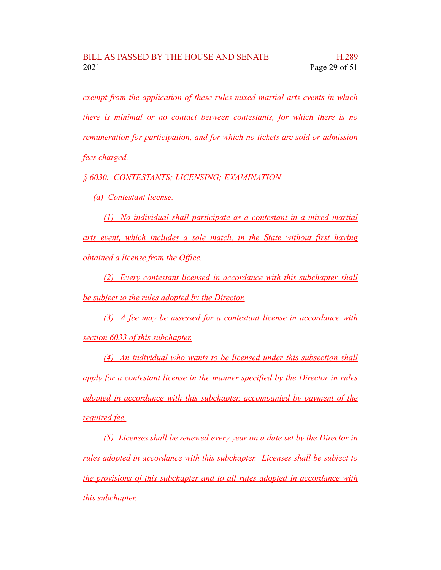*exempt from the application of these rules mixed martial arts events in which there is minimal or no contact between contestants, for which there is no remuneration for participation, and for which no tickets are sold or admission fees charged.*

*§ 6030. CONTESTANTS; LICENSING; EXAMINATION*

*(a) Contestant license.*

*(1) No individual shall participate as a contestant in a mixed martial arts event, which includes a sole match, in the State without first having obtained a license from the Office.*

*(2) Every contestant licensed in accordance with this subchapter shall be subject to the rules adopted by the Director.*

*(3) A fee may be assessed for a contestant license in accordance with section 6033 of this subchapter.*

*(4) An individual who wants to be licensed under this subsection shall apply for a contestant license in the manner specified by the Director in rules adopted in accordance with this subchapter, accompanied by payment of the required fee.*

*(5) Licenses shall be renewed every year on a date set by the Director in rules adopted in accordance with this subchapter. Licenses shall be subject to the provisions of this subchapter and to all rules adopted in accordance with this subchapter.*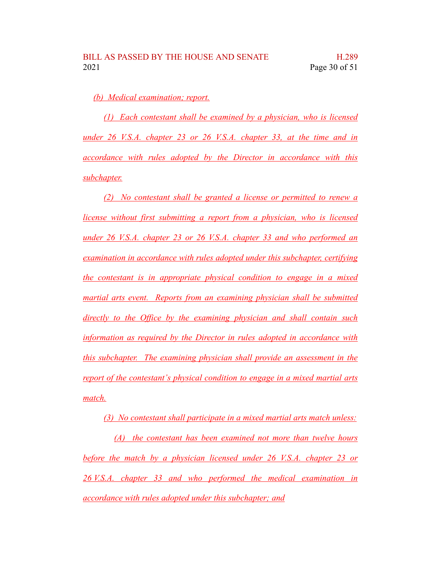*(b) Medical examination; report.*

*(1) Each contestant shall be examined by a physician, who is licensed under 26 V.S.A. chapter 23 or 26 V.S.A. chapter 33, at the time and in accordance with rules adopted by the Director in accordance with this subchapter.*

*(2) No contestant shall be granted a license or permitted to renew a license without first submitting a report from a physician, who is licensed under 26 V.S.A. chapter 23 or 26 V.S.A. chapter 33 and who performed an examination in accordance with rules adopted under this subchapter, certifying the contestant is in appropriate physical condition to engage in a mixed martial arts event. Reports from an examining physician shall be submitted directly to the Office by the examining physician and shall contain such information as required by the Director in rules adopted in accordance with this subchapter. The examining physician shall provide an assessment in the report of the contestant's physical condition to engage in a mixed martial arts match.*

*(3) No contestant shall participate in a mixed martial arts match unless:*

*(A) the contestant has been examined not more than twelve hours before the match by a physician licensed under 26 V.S.A. chapter 23 or 26 V.S.A. chapter 33 and who performed the medical examination in accordance with rules adopted under this subchapter; and*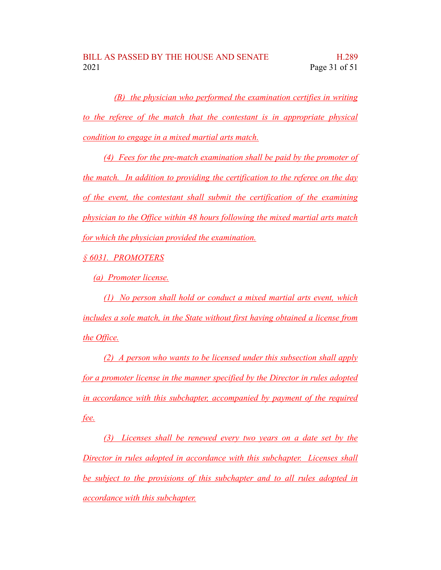*(B) the physician who performed the examination certifies in writing to the referee of the match that the contestant is in appropriate physical condition to engage in a mixed martial arts match.*

*(4) Fees for the pre-match examination shall be paid by the promoter of the match. In addition to providing the certification to the referee on the day of the event, the contestant shall submit the certification of the examining physician to the Office within 48 hours following the mixed martial arts match for which the physician provided the examination.*

*§ 6031. PROMOTERS*

*(a) Promoter license.*

*(1) No person shall hold or conduct a mixed martial arts event, which includes a sole match, in the State without first having obtained a license from the Office.*

*(2) A person who wants to be licensed under this subsection shall apply for a promoter license in the manner specified by the Director in rules adopted in accordance with this subchapter, accompanied by payment of the required fee.*

*(3) Licenses shall be renewed every two years on a date set by the Director in rules adopted in accordance with this subchapter. Licenses shall be subject to the provisions of this subchapter and to all rules adopted in accordance with this subchapter.*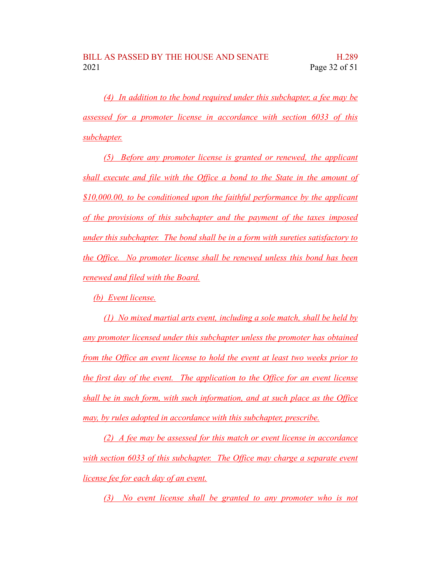*(4) In addition to the bond required under this subchapter, a fee may be assessed for a promoter license in accordance with section 6033 of this subchapter.*

*(5) Before any promoter license is granted or renewed, the applicant shall execute and file with the Office a bond to the State in the amount of \$10,000.00, to be conditioned upon the faithful performance by the applicant of the provisions of this subchapter and the payment of the taxes imposed under this subchapter. The bond shall be in a form with sureties satisfactory to the Office. No promoter license shall be renewed unless this bond has been renewed and filed with the Board.*

*(b) Event license.*

*(1) No mixed martial arts event, including a sole match, shall be held by any promoter licensed under this subchapter unless the promoter has obtained from the Office an event license to hold the event at least two weeks prior to the first day of the event. The application to the Office for an event license shall be in such form, with such information, and at such place as the Office may, by rules adopted in accordance with this subchapter, prescribe.*

*(2) A fee may be assessed for this match or event license in accordance with section 6033 of this subchapter. The Office may charge a separate event license fee for each day of an event.*

*(3) No event license shall be granted to any promoter who is not*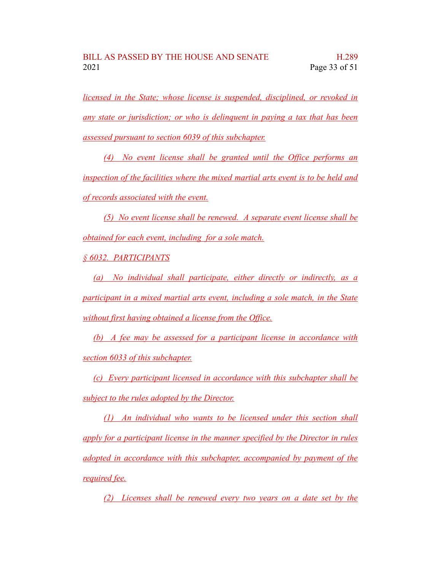*licensed in the State; whose license is suspended, disciplined, or revoked in any state or jurisdiction; or who is delinquent in paying a tax that has been assessed pursuant to section 6039 of this subchapter.*

*(4) No event license shall be granted until the Office performs an inspection of the facilities where the mixed martial arts event is to be held and of records associated with the event.*

*(5) No event license shall be renewed. A separate event license shall be obtained for each event, including for a sole match.*

*§ 6032. PARTICIPANTS*

*(a) No individual shall participate, either directly or indirectly, as a participant in a mixed martial arts event, including a sole match, in the State without first having obtained a license from the Office.*

*(b) A fee may be assessed for a participant license in accordance with section 6033 of this subchapter.*

*(c) Every participant licensed in accordance with this subchapter shall be subject to the rules adopted by the Director.*

*(1) An individual who wants to be licensed under this section shall apply for a participant license in the manner specified by the Director in rules adopted in accordance with this subchapter, accompanied by payment of the required fee.*

*(2) Licenses shall be renewed every two years on a date set by the*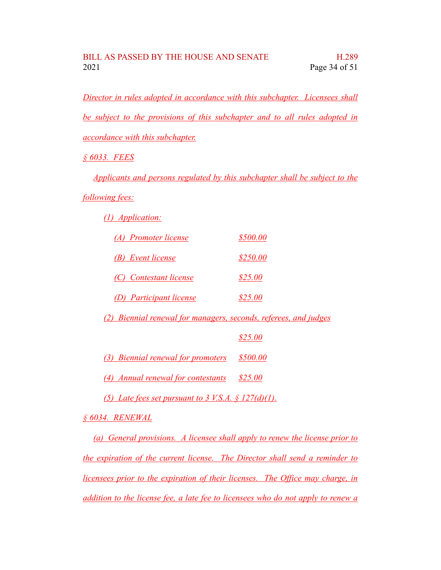*Director in rules adopted in accordance with this subchapter. Licensees shall be subject to the provisions of this subchapter and to all rules adopted in accordance with this subchapter.*

*§ 6033. FEES*

*Applicants and persons regulated by this subchapter shall be subject to the*

*following fees:*

*(1) Application:*

| (A) Promoter license    | \$500.00       |
|-------------------------|----------------|
| (B) Event license       | \$250.00       |
| (C) Contestant license  | \$25.00        |
| (D) Participant license | <i>\$25.00</i> |

*(2) Biennial renewal for managers, seconds, referees, and judges*

*\$25.00*

*(3) Biennial renewal for promoters \$500.00*

*(4) Annual renewal for contestants \$25.00*

*(5) Late fees set pursuant to 3 V.S.A. § 127(d)(1).*

*§ 6034. RENEWAL*

*(a) General provisions. A licensee shall apply to renew the license prior to the expiration of the current license. The Director shall send a reminder to licensees prior to the expiration of their licenses. The Office may charge, in addition to the license fee, a late fee to licensees who do not apply to renew a*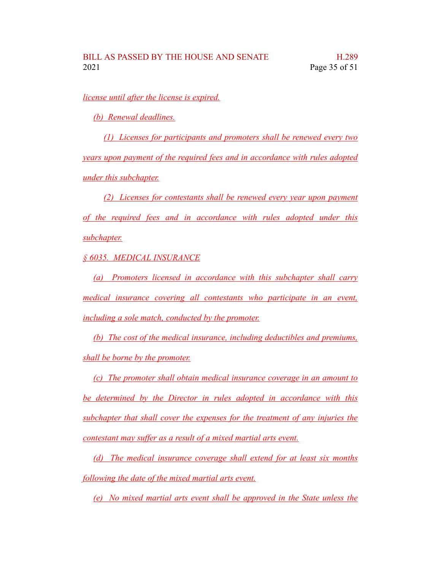*license until after the license is expired.*

*(b) Renewal deadlines.*

*(1) Licenses for participants and promoters shall be renewed every two years upon payment of the required fees and in accordance with rules adopted under this subchapter.*

*(2) Licenses for contestants shall be renewed every year upon payment of the required fees and in accordance with rules adopted under this subchapter.*

*§ 6035. MEDICAL INSURANCE*

*(a) Promoters licensed in accordance with this subchapter shall carry medical insurance covering all contestants who participate in an event, including a sole match, conducted by the promoter.*

*(b) The cost of the medical insurance, including deductibles and premiums, shall be borne by the promoter.*

*(c) The promoter shall obtain medical insurance coverage in an amount to be determined by the Director in rules adopted in accordance with this subchapter that shall cover the expenses for the treatment of any injuries the contestant may suffer as a result of a mixed martial arts event.*

*(d) The medical insurance coverage shall extend for at least six months following the date of the mixed martial arts event.*

*(e) No mixed martial arts event shall be approved in the State unless the*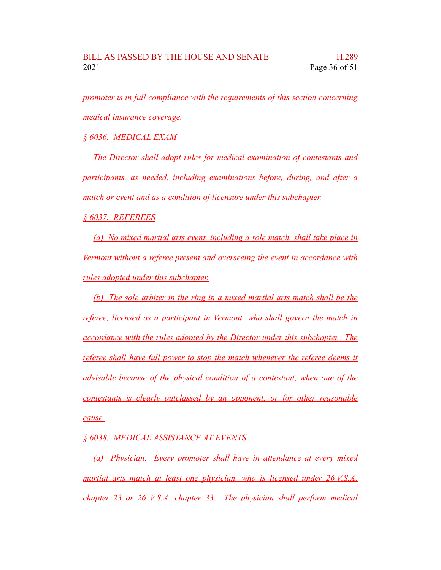*promoter is in full compliance with the requirements of this section concerning medical insurance coverage.*

*§ 6036. MEDICAL EXAM*

*The Director shall adopt rules for medical examination of contestants and participants, as needed, including examinations before, during, and after a match or event and as a condition of licensure under this subchapter.*

*§ 6037. REFEREES*

*(a) No mixed martial arts event, including a sole match, shall take place in Vermont without a referee present and overseeing the event in accordance with rules adopted under this subchapter.*

*(b) The sole arbiter in the ring in a mixed martial arts match shall be the referee, licensed as a participant in Vermont, who shall govern the match in accordance with the rules adopted by the Director under this subchapter. The referee shall have full power to stop the match whenever the referee deems it advisable because of the physical condition of a contestant, when one of the contestants is clearly outclassed by an opponent, or for other reasonable cause.*

*§ 6038. MEDICAL ASSISTANCE AT EVENTS*

*(a) Physician. Every promoter shall have in attendance at every mixed martial arts match at least one physician, who is licensed under 26 V.S.A. chapter 23 or 26 V.S.A. chapter 33. The physician shall perform medical*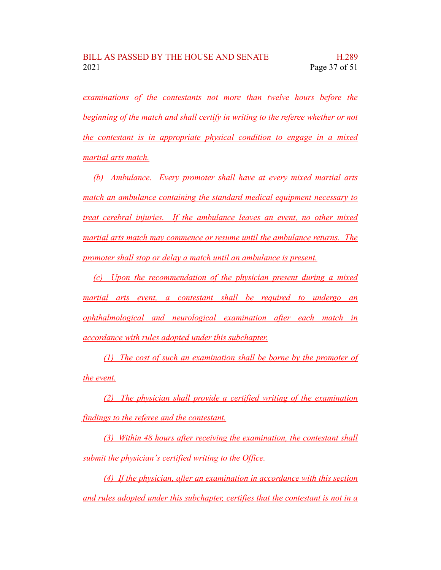*examinations of the contestants not more than twelve hours before the beginning of the match and shall certify in writing to the referee whether or not the contestant is in appropriate physical condition to engage in a mixed martial arts match.*

*(b) Ambulance. Every promoter shall have at every mixed martial arts match an ambulance containing the standard medical equipment necessary to treat cerebral injuries. If the ambulance leaves an event, no other mixed martial arts match may commence or resume until the ambulance returns. The promoter shall stop or delay a match until an ambulance is present.*

*(c) Upon the recommendation of the physician present during a mixed martial arts event, a contestant shall be required to undergo an ophthalmological and neurological examination after each match in accordance with rules adopted under this subchapter.*

*(1) The cost of such an examination shall be borne by the promoter of the event.*

*(2) The physician shall provide a certified writing of the examination findings to the referee and the contestant.*

*(3) Within 48 hours after receiving the examination, the contestant shall submit the physician's certified writing to the Office.*

*(4) If the physician, after an examination in accordance with this section and rules adopted under this subchapter, certifies that the contestant is not in a*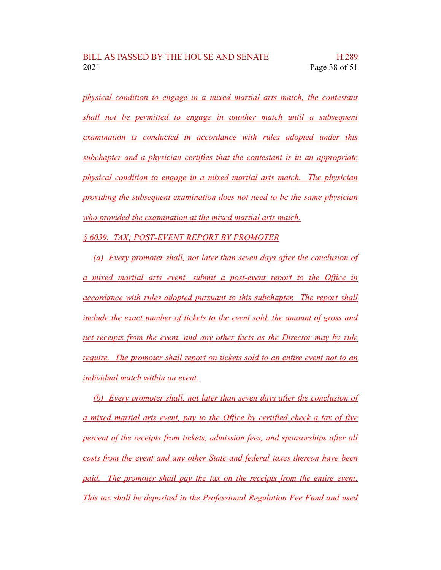*physical condition to engage in a mixed martial arts match, the contestant shall not be permitted to engage in another match until a subsequent examination is conducted in accordance with rules adopted under this subchapter and a physician certifies that the contestant is in an appropriate physical condition to engage in a mixed martial arts match. The physician providing the subsequent examination does not need to be the same physician who provided the examination at the mixed martial arts match.*

*§ 6039. TAX; POST-EVENT REPORT BY PROMOTER*

*(a) Every promoter shall, not later than seven days after the conclusion of a mixed martial arts event, submit a post-event report to the Office in accordance with rules adopted pursuant to this subchapter. The report shall include the exact number of tickets to the event sold, the amount of gross and net receipts from the event, and any other facts as the Director may by rule require. The promoter shall report on tickets sold to an entire event not to an individual match within an event.*

*(b) Every promoter shall, not later than seven days after the conclusion of a mixed martial arts event, pay to the Office by certified check a tax of five percent of the receipts from tickets, admission fees, and sponsorships after all costs from the event and any other State and federal taxes thereon have been paid. The promoter shall pay the tax on the receipts from the entire event. This tax shall be deposited in the Professional Regulation Fee Fund and used*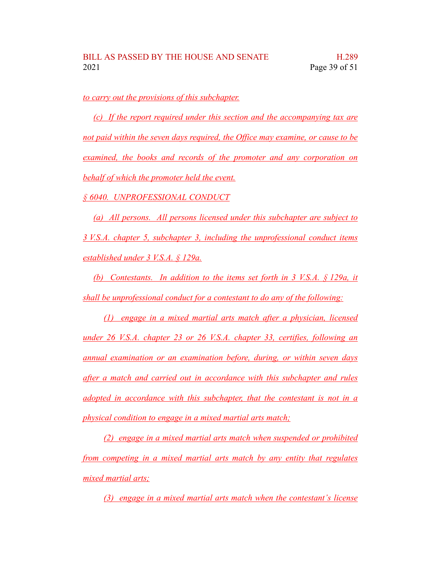*to carry out the provisions of this subchapter.*

*(c) If the report required under this section and the accompanying tax are not paid within the seven days required, the Office may examine, or cause to be examined, the books and records of the promoter and any corporation on behalf of which the promoter held the event.*

*§ 6040. UNPROFESSIONAL CONDUCT*

*(a) All persons. All persons licensed under this subchapter are subject to 3 V.S.A. chapter 5, subchapter 3, including the unprofessional conduct items established under 3 V.S.A. § 129a.*

*(b) Contestants. In addition to the items set forth in 3 V.S.A. § 129a, it shall be unprofessional conduct for a contestant to do any of the following:*

*(1) engage in a mixed martial arts match after a physician, licensed under 26 V.S.A. chapter 23 or 26 V.S.A. chapter 33, certifies, following an annual examination or an examination before, during, or within seven days after a match and carried out in accordance with this subchapter and rules adopted in accordance with this subchapter, that the contestant is not in a physical condition to engage in a mixed martial arts match;*

*(2) engage in a mixed martial arts match when suspended or prohibited from competing in a mixed martial arts match by any entity that regulates mixed martial arts;*

*(3) engage in a mixed martial arts match when the contestant's license*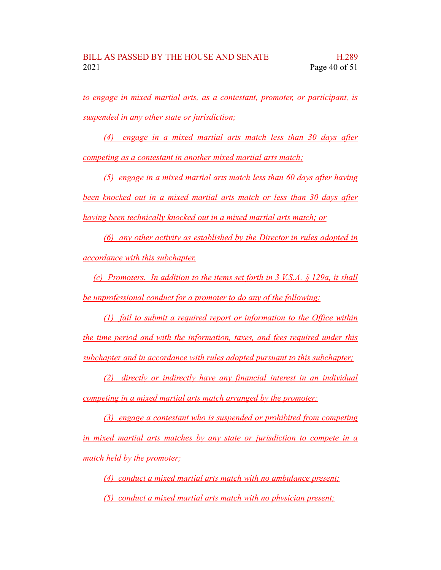*to engage in mixed martial arts, as a contestant, promoter, or participant, is suspended in any other state or jurisdiction;*

*(4) engage in a mixed martial arts match less than 30 days after competing as a contestant in another mixed martial arts match;*

*(5) engage in a mixed martial arts match less than 60 days after having been knocked out in a mixed martial arts match or less than 30 days after having been technically knocked out in a mixed martial arts match; or*

*(6) any other activity as established by the Director in rules adopted in accordance with this subchapter.*

*(c) Promoters. In addition to the items set forth in 3 V.S.A. § 129a, it shall be unprofessional conduct for a promoter to do any of the following:*

*(1) fail to submit a required report or information to the Office within the time period and with the information, taxes, and fees required under this subchapter and in accordance with rules adopted pursuant to this subchapter;*

*(2) directly or indirectly have any financial interest in an individual competing in a mixed martial arts match arranged by the promoter;*

*(3) engage a contestant who is suspended or prohibited from competing in mixed martial arts matches by any state or jurisdiction to compete in a match held by the promoter;*

*(4) conduct a mixed martial arts match with no ambulance present;*

*(5) conduct a mixed martial arts match with no physician present;*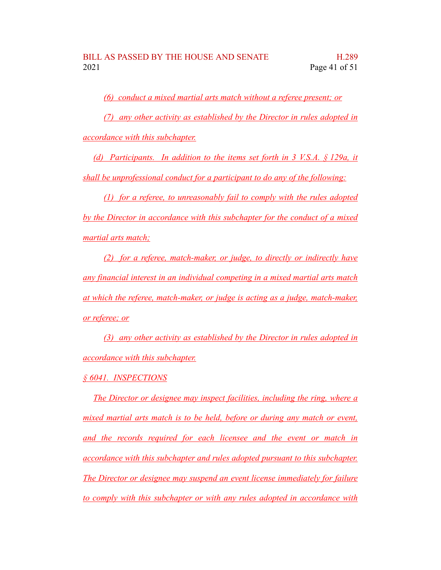*(6) conduct a mixed martial arts match without a referee present; or*

*(7) any other activity as established by the Director in rules adopted in*

*accordance with this subchapter.*

*(d) Participants. In addition to the items set forth in 3 V.S.A. § 129a, it shall be unprofessional conduct for a participant to do any of the following:*

*(1) for a referee, to unreasonably fail to comply with the rules adopted by the Director in accordance with this subchapter for the conduct of a mixed martial arts match;*

*(2) for a referee, match-maker, or judge, to directly or indirectly have any financial interest in an individual competing in a mixed martial arts match at which the referee, match-maker, or judge is acting as a judge, match-maker, or referee; or*

*(3) any other activity as established by the Director in rules adopted in accordance with this subchapter.*

*§ 6041. INSPECTIONS*

*The Director or designee may inspect facilities, including the ring, where a mixed martial arts match is to be held, before or during any match or event, and the records required for each licensee and the event or match in accordance with this subchapter and rules adopted pursuant to this subchapter. The Director or designee may suspend an event license immediately for failure to comply with this subchapter or with any rules adopted in accordance with*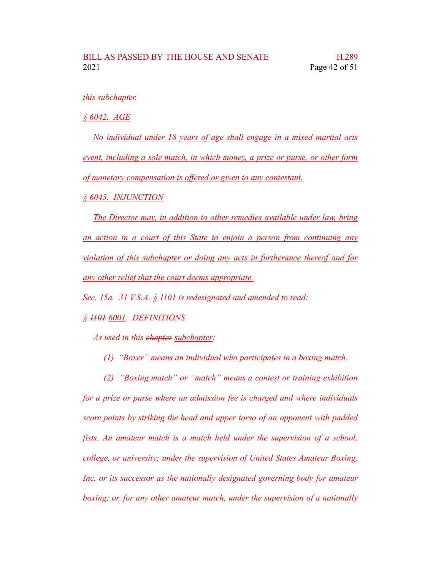#### *this subchapter.*

*§ 6042. AGE*

*No individual under 18 years of age shall engage in a mixed martial arts event, including a sole match, in which money, a prize or purse, or other form of monetary compensation is offered or given to any contestant.*

*§ 6043. INJUNCTION*

*The Director may, in addition to other remedies available under law, bring an action in a court of this State to enjoin a person from continuing any violation of this subchapter or doing any acts in furtherance thereof and for any other relief that the court deems appropriate.*

*Sec. 15a. 31 V.S.A. § 1101 is redesignated and amended to read:*

*§ 1101 6001. DEFINITIONS*

*As used in this chapter subchapter:*

- *(1) "Boxer" means an individual who participates in a boxing match.*
- *(2) "Boxing match" or "match" means a contest or training exhibition*

*for a prize or purse where an admission fee is charged and where individuals score points by striking the head and upper torso of an opponent with padded fists. An amateur match is a match held under the supervision of a school, college, or university; under the supervision of United States Amateur Boxing, Inc. or its successor as the nationally designated governing body for amateur boxing; or, for any other amateur match, under the supervision of a nationally*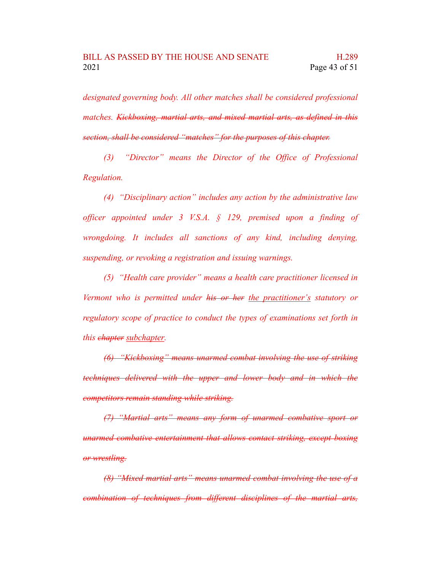*designated governing body. All other matches shall be considered professional matches. Kickboxing, martial arts, and mixed martial arts, as defined in this section, shall be considered "matches" for the purposes of this chapter.*

*(3) "Director" means the Director of the Office of Professional Regulation.*

*(4) "Disciplinary action" includes any action by the administrative law officer appointed under 3 V.S.A. § 129, premised upon a finding of wrongdoing. It includes all sanctions of any kind, including denying, suspending, or revoking a registration and issuing warnings.*

*(5) "Health care provider" means a health care practitioner licensed in Vermont who is permitted under his or her the practitioner's statutory or regulatory scope of practice to conduct the types of examinations set forth in this chapter subchapter.*

*(6) "Kickboxing" means unarmed combat involving the use of striking techniques delivered with the upper and lower body and in which the competitors remain standing while striking.*

*(7) "Martial arts" means any form of unarmed combative sport or unarmed combative entertainment that allows contact striking, except boxing or wrestling.*

*(8) "Mixed martial arts" means unarmed combat involving the use of a combination of techniques from different disciplines of the martial arts,*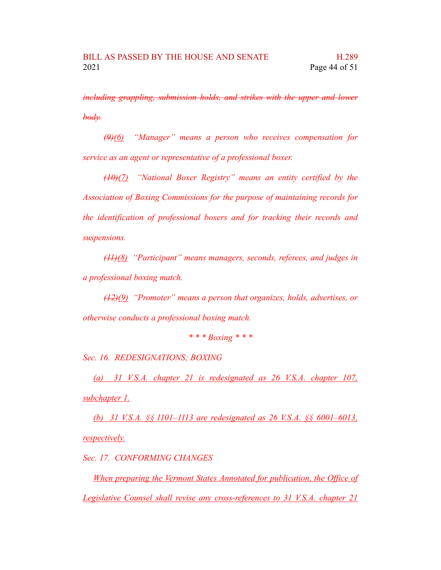*including grappling, submission holds, and strikes with the upper and lower body.*

*(9)(6) "Manager" means a person who receives compensation for service as an agent or representative of a professional boxer.*

*(10)(7) "National Boxer Registry" means an entity certified by the Association of Boxing Commissions for the purpose of maintaining records for the identification of professional boxers and for tracking their records and suspensions.*

*(11)(8) "Participant" means managers, seconds, referees, and judges in a professional boxing match.*

*(12)(9) "Promoter" means a person that organizes, holds, advertises, or otherwise conducts a professional boxing match.*

*\* \* \* Boxing \* \* \**

*Sec. 16. REDESIGNATIONS; BOXING*

*(a) 31 V.S.A. chapter 21 is redesignated as 26 V.S.A. chapter 107, subchapter 1.*

*(b) 31 V.S.A. §§ 1101–1113 are redesignated as 26 V.S.A. §§ 6001–6013, respectively.*

*Sec. 17. CONFORMING CHANGES*

*When preparing the Vermont States Annotated for publication, the Office of Legislative Counsel shall revise any cross-references to 31 V.S.A. chapter 21*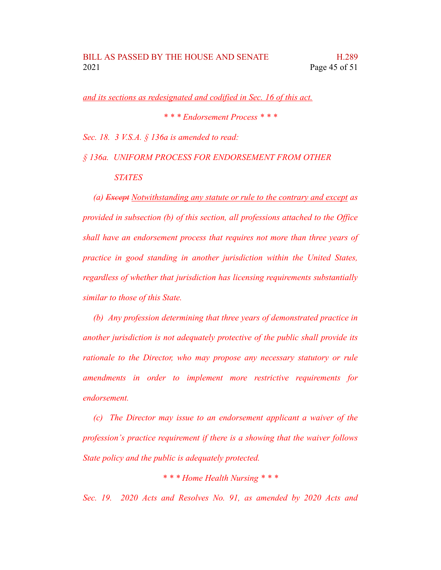*and its sections as redesignated and codified in Sec. 16 of this act.*

*\* \* \* Endorsement Process \* \* \**

*Sec. 18. 3 V.S.A. § 136a is amended to read:*

*§ 136a. UNIFORM PROCESS FOR ENDORSEMENT FROM OTHER*

*STATES*

*(a) Except Notwithstanding any statute or rule to the contrary and except as provided in subsection (b) of this section, all professions attached to the Office shall have an endorsement process that requires not more than three years of practice in good standing in another jurisdiction within the United States, regardless of whether that jurisdiction has licensing requirements substantially similar to those of this State.*

*(b) Any profession determining that three years of demonstrated practice in another jurisdiction is not adequately protective of the public shall provide its rationale to the Director, who may propose any necessary statutory or rule amendments in order to implement more restrictive requirements for endorsement.*

*(c) The Director may issue to an endorsement applicant a waiver of the profession's practice requirement if there is a showing that the waiver follows State policy and the public is adequately protected.*

*\* \* \* Home Health Nursing \* \* \**

*Sec. 19. 2020 Acts and Resolves No. 91, as amended by 2020 Acts and*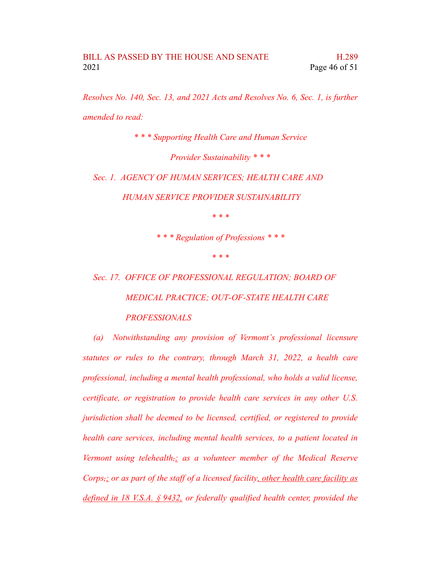*Resolves No. 140, Sec. 13, and 2021 Acts and Resolves No. 6, Sec. 1, is further amended to read:*

*\* \* \* Supporting Health Care and Human Service*

*Provider Sustainability \* \* \**

*Sec. 1. AGENCY OF HUMAN SERVICES; HEALTH CARE AND*

*HUMAN SERVICE PROVIDER SUSTAINABILITY*

*\* \* \**

*\* \* \* Regulation of Professions \* \* \**

*\* \* \**

*Sec. 17. OFFICE OF PROFESSIONAL REGULATION; BOARD OF MEDICAL PRACTICE; OUT-OF-STATE HEALTH CARE PROFESSIONALS*

*(a) Notwithstanding any provision of Vermont's professional licensure statutes or rules to the contrary, through March 31, 2022, a health care professional, including a mental health professional, who holds a valid license, certificate, or registration to provide health care services in any other U.S. jurisdiction shall be deemed to be licensed, certified, or registered to provide health care services, including mental health services, to a patient located in Vermont using telehealth,; as a volunteer member of the Medical Reserve Corps,; or as part of the staff of a licensed facility, other health care facility as defined in 18 V.S.A. § 9432, or federally qualified health center, provided the*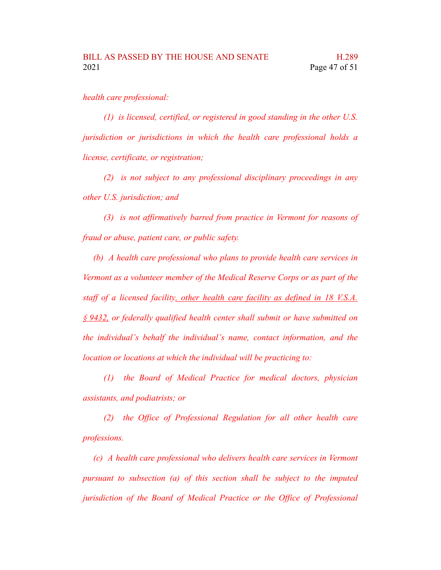#### *health care professional:*

*(1) is licensed, certified, or registered in good standing in the other U.S. jurisdiction or jurisdictions in which the health care professional holds a license, certificate, or registration;*

*(2) is not subject to any professional disciplinary proceedings in any other U.S. jurisdiction; and*

*(3) is not affirmatively barred from practice in Vermont for reasons of fraud or abuse, patient care, or public safety.*

*(b) A health care professional who plans to provide health care services in Vermont as a volunteer member of the Medical Reserve Corps or as part of the staff of a licensed facility, other health care facility as defined in 18 V.S.A. § 9432, or federally qualified health center shall submit or have submitted on the individual's behalf the individual's name, contact information, and the location or locations at which the individual will be practicing to:*

*(1) the Board of Medical Practice for medical doctors, physician assistants, and podiatrists; or*

*(2) the Office of Professional Regulation for all other health care professions.*

*(c) A health care professional who delivers health care services in Vermont pursuant to subsection (a) of this section shall be subject to the imputed jurisdiction of the Board of Medical Practice or the Office of Professional*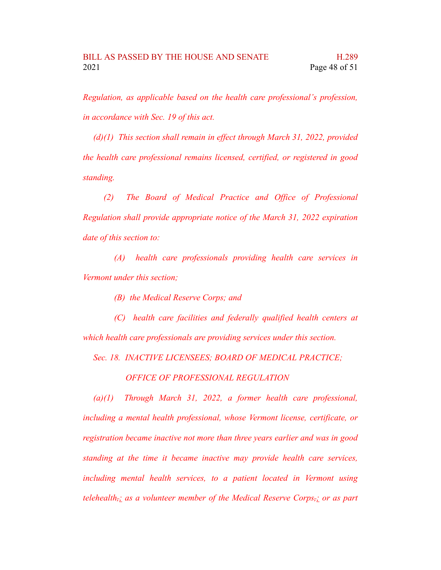*Regulation, as applicable based on the health care professional's profession, in accordance with Sec. 19 of this act.*

*(d)(1) This section shall remain in effect through March 31, 2022, provided the health care professional remains licensed, certified, or registered in good standing.*

*(2) The Board of Medical Practice and Office of Professional Regulation shall provide appropriate notice of the March 31, 2022 expiration date of this section to:*

*(A) health care professionals providing health care services in Vermont under this section;*

*(B) the Medical Reserve Corps; and*

*(C) health care facilities and federally qualified health centers at which health care professionals are providing services under this section.*

*Sec. 18. INACTIVE LICENSEES; BOARD OF MEDICAL PRACTICE;*

*OFFICE OF PROFESSIONAL REGULATION*

*(a)(1) Through March 31, 2022, a former health care professional, including a mental health professional, whose Vermont license, certificate, or registration became inactive not more than three years earlier and was in good standing at the time it became inactive may provide health care services, including mental health services, to a patient located in Vermont using telehealth,; as a volunteer member of the Medical Reserve Corps,; or as part*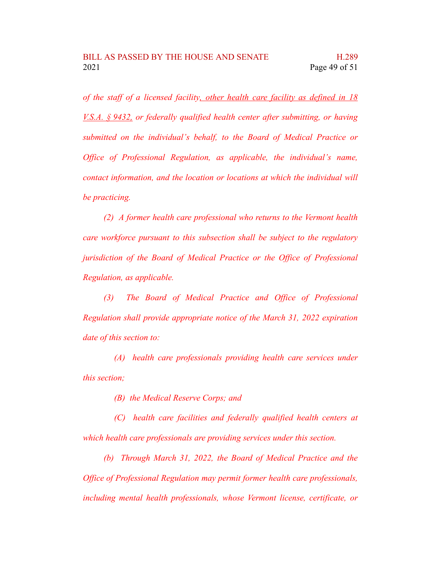*of the staff of a licensed facility, other health care facility as defined in 18 V.S.A. § 9432, or federally qualified health center after submitting, or having submitted on the individual's behalf, to the Board of Medical Practice or Office of Professional Regulation, as applicable, the individual's name, contact information, and the location or locations at which the individual will be practicing.*

*(2) A former health care professional who returns to the Vermont health care workforce pursuant to this subsection shall be subject to the regulatory jurisdiction of the Board of Medical Practice or the Office of Professional Regulation, as applicable.*

*(3) The Board of Medical Practice and Office of Professional Regulation shall provide appropriate notice of the March 31, 2022 expiration date of this section to:*

*(A) health care professionals providing health care services under this section;*

*(B) the Medical Reserve Corps; and*

*(C) health care facilities and federally qualified health centers at which health care professionals are providing services under this section.*

*(b) Through March 31, 2022, the Board of Medical Practice and the Office of Professional Regulation may permit former health care professionals, including mental health professionals, whose Vermont license, certificate, or*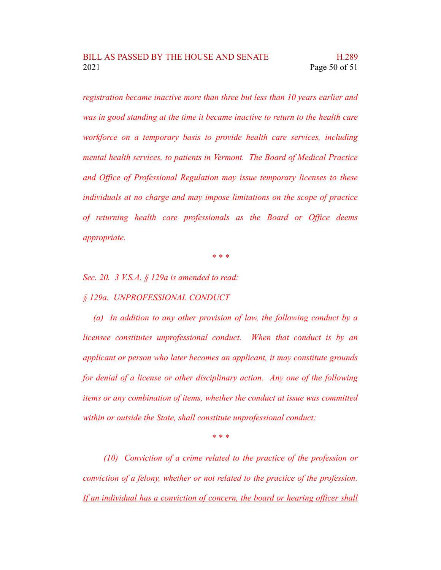*registration became inactive more than three but less than 10 years earlier and was in good standing at the time it became inactive to return to the health care workforce on a temporary basis to provide health care services, including mental health services, to patients in Vermont. The Board of Medical Practice and Office of Professional Regulation may issue temporary licenses to these individuals at no charge and may impose limitations on the scope of practice of returning health care professionals as the Board or Office deems appropriate.*

*\* \* \**

*Sec. 20. 3 V.S.A. § 129a is amended to read:*

*§ 129a. UNPROFESSIONAL CONDUCT*

*(a) In addition to any other provision of law, the following conduct by a licensee constitutes unprofessional conduct. When that conduct is by an applicant or person who later becomes an applicant, it may constitute grounds for denial of a license or other disciplinary action. Any one of the following items or any combination of items, whether the conduct at issue was committed within or outside the State, shall constitute unprofessional conduct:*

*\* \* \**

*(10) Conviction of a crime related to the practice of the profession or conviction of a felony, whether or not related to the practice of the profession. If an individual has a conviction of concern, the board or hearing officer shall*